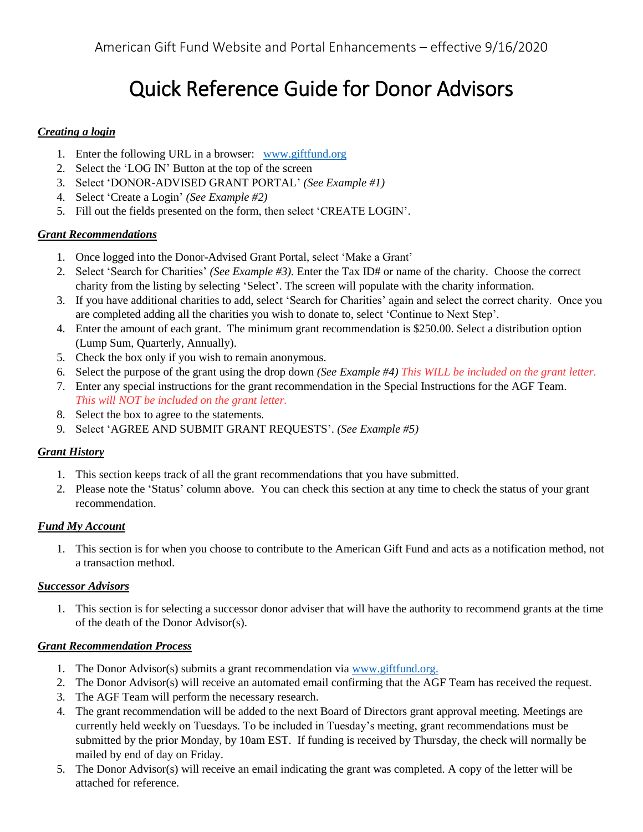# Quick Reference Guide for Donor Advisors

# *Creating a login*

- 1. Enter the following URL in a browser: [www.giftfund.org](http://www.giftfund.org/)
- 2. Select the 'LOG IN' Button at the top of the screen
- 3. Select 'DONOR-ADVISED GRANT PORTAL' *(See Example #1)*
- 4. Select 'Create a Login' *(See Example #2)*
- 5. Fill out the fields presented on the form, then select 'CREATE LOGIN'.

# *Grant Recommendations*

- 1. Once logged into the Donor-Advised Grant Portal, select 'Make a Grant'
- 2. Select 'Search for Charities' *(See Example #3).* Enter the Tax ID# or name of the charity. Choose the correct charity from the listing by selecting 'Select'. The screen will populate with the charity information.
- 3. If you have additional charities to add, select 'Search for Charities' again and select the correct charity. Once you are completed adding all the charities you wish to donate to, select 'Continue to Next Step'.
- 4. Enter the amount of each grant. The minimum grant recommendation is \$250.00. Select a distribution option (Lump Sum, Quarterly, Annually).
- 5. Check the box only if you wish to remain anonymous.
- 6. Select the purpose of the grant using the drop down *(See Example #4) This WILL be included on the grant letter.*
- 7. Enter any special instructions for the grant recommendation in the Special Instructions for the AGF Team. *This will NOT be included on the grant letter.*
- 8. Select the box to agree to the statements.
- 9. Select 'AGREE AND SUBMIT GRANT REQUESTS'. *(See Example #5)*

# *Grant History*

- 1. This section keeps track of all the grant recommendations that you have submitted.
- 2. Please note the 'Status' column above. You can check this section at any time to check the status of your grant recommendation.

# *Fund My Account*

1. This section is for when you choose to contribute to the American Gift Fund and acts as a notification method, not a transaction method.

## *Successor Advisors*

1. This section is for selecting a successor donor adviser that will have the authority to recommend grants at the time of the death of the Donor Advisor(s).

## *Grant Recommendation Process*

- 1. The Donor Advisor(s) submits a grant recommendation via [www.giftfund.org.](http://www.giftfund.org/)
- 2. The Donor Advisor(s) will receive an automated email confirming that the AGF Team has received the request.
- 3. The AGF Team will perform the necessary research.
- 4. The grant recommendation will be added to the next Board of Directors grant approval meeting. Meetings are currently held weekly on Tuesdays. To be included in Tuesday's meeting, grant recommendations must be submitted by the prior Monday, by 10am EST. If funding is received by Thursday, the check will normally be mailed by end of day on Friday.
- 5. The Donor Advisor(s) will receive an email indicating the grant was completed. A copy of the letter will be attached for reference.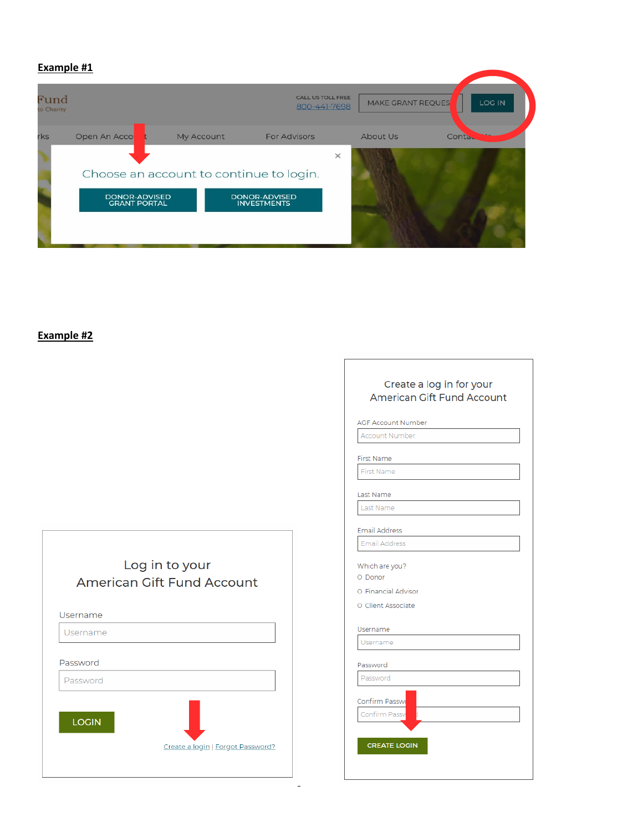### **Example #1**

| Fund<br>to Charity |                                         |            | CALL US TOLL FREE<br>800-441-7698   |          | MAKE GRANT REQUES |        | LOG IN |
|--------------------|-----------------------------------------|------------|-------------------------------------|----------|-------------------|--------|--------|
| rks                | Open An Acco                            | My Account | <b>For Advisors</b>                 |          | About Us          | Conta. |        |
|                    | Choose an account to continue to login. |            |                                     | $\times$ |                   |        |        |
|                    | DONOR-ADVISED<br><b>GRANT PORTAL</b>    |            | DONOR-ADVISED<br><b>INVESTMENTS</b> |          |                   |        |        |
|                    |                                         |            |                                     |          |                   |        |        |

# **Example #2**

|                                              | Create a log in for your<br>American Gift Fund Account                 |
|----------------------------------------------|------------------------------------------------------------------------|
|                                              | <b>AGF Account Number</b>                                              |
|                                              | <b>Account Number</b>                                                  |
|                                              | <b>First Name</b>                                                      |
|                                              | First Name                                                             |
|                                              | Last Name                                                              |
|                                              | Last Name                                                              |
|                                              | <b>Email Address</b>                                                   |
|                                              | Email Address                                                          |
| Log in to your<br>American Gift Fund Account | Which are you?<br>O Donor<br>O Financial Advisor<br>O Client Associate |
| Username                                     |                                                                        |
| Username                                     | Username<br>Username                                                   |
| Password                                     | Password                                                               |
| Password                                     | Password                                                               |
|                                              | Confirm Passwo                                                         |
| <b>LOGIN</b>                                 | Confirm Passv                                                          |
| Create a login   Forgot Password?            | <b>CREATE LOGIN</b>                                                    |
|                                              |                                                                        |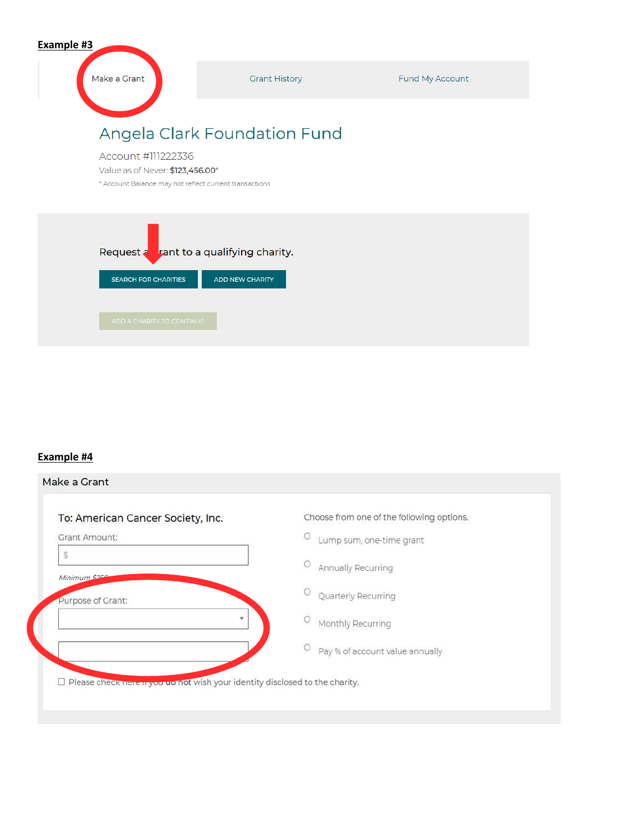| Example #3                                                                                                       |                              |                 |
|------------------------------------------------------------------------------------------------------------------|------------------------------|-----------------|
| Make a Grant                                                                                                     | <b>Grant History</b>         | Fund My Account |
|                                                                                                                  | Angela Clark Foundation Fund |                 |
| Account #111222336<br>Value as of Never: \$123,456.00*<br>* Account Balance may not reflect current transactions |                              |                 |
| Request a rant to a qualifying charity.<br><b>SEARCH FOR CHARITIES</b>                                           | <b>ADD NEW CHARITY</b>       |                 |
| ADD A CHARITY TO CONTINUE                                                                                        |                              |                 |

# **Example #4**

| To: American Cancer Society, Inc. | Choose from one of the following options. |
|-----------------------------------|-------------------------------------------|
| <b>Grant Amount:</b>              | U<br>Lump sum, one-time grant             |
| \$<br>Minimum \$250               | $\circ$<br>Annually Recurring             |
| Purpose of Grant:                 | Quarterly Recurring                       |
| $\mathbf{v}$                      | Monthly Recurring                         |
|                                   | Pay % of account value annually           |